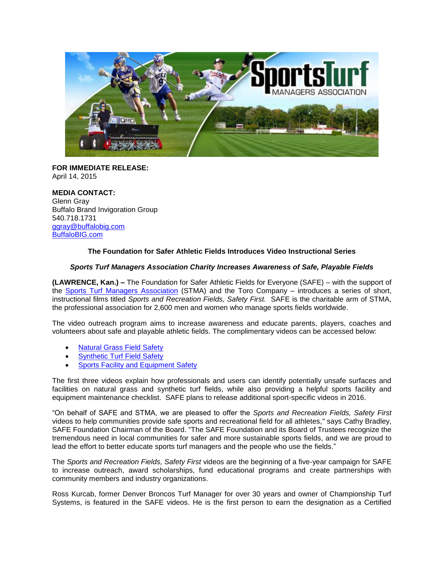

**FOR IMMEDIATE RELEASE:** April 14, 2015

**MEDIA CONTACT:** Glenn Gray Buffalo Brand Invigoration Group 540.718.1731 [ggray@buffalobig.com](mailto:ggray@buffalobig.com)  [BuffaloBIG.com](http://www.buffalobig.com/)

## **The Foundation for Safer Athletic Fields Introduces Video Instructional Series**

## *Sports Turf Managers Association Charity Increases Awareness of Safe, Playable Fields*

**(LAWRENCE, Kan.) –** The Foundation for Safer Athletic Fields for Everyone (SAFE) – with the support of the [Sports Turf Managers Association](http://www.stma.org/) (STMA) and the Toro Company – introduces a series of short, instructional films titled *Sports and Recreation Fields, Safety First.* SAFE is the charitable arm of STMA, the professional association for 2,600 men and women who manage sports fields worldwide.

The video outreach program aims to increase awareness and educate parents, players, coaches and volunteers about safe and playable athletic fields. The complimentary videos can be accessed below:

- [Natural Grass Field Safety](https://www.youtube.com/watch?v=g5lIe57dNu0)
- [Synthetic Turf Field Safety](https://www.youtube.com/watch?v=52ZvYvhzoWc&feature=youtu.be)
- [Sports Facility and Equipment Safety](https://www.youtube.com/watch?v=MdUv8cRxjdM)

The first three videos explain how professionals and users can identify potentially unsafe surfaces and facilities on natural grass and synthetic turf fields, while also providing a helpful sports facility and equipment maintenance checklist. SAFE plans to release additional sport-specific videos in 2016.

"On behalf of SAFE and STMA, we are pleased to offer the *Sports and Recreation Fields, Safety First* videos to help communities provide safe sports and recreational field for all athletes," says Cathy Bradley, SAFE Foundation Chairman of the Board. "The SAFE Foundation and its Board of Trustees recognize the tremendous need in local communities for safer and more sustainable sports fields, and we are proud to lead the effort to better educate sports turf managers and the people who use the fields."

The *Sports and Recreation Fields, Safety First* videos are the beginning of a five-year campaign for SAFE to increase outreach, award scholarships, fund educational programs and create partnerships with community members and industry organizations.

Ross Kurcab, former Denver Broncos Turf Manager for over 30 years and owner of Championship Turf Systems, is featured in the SAFE videos. He is the first person to earn the designation as a Certified